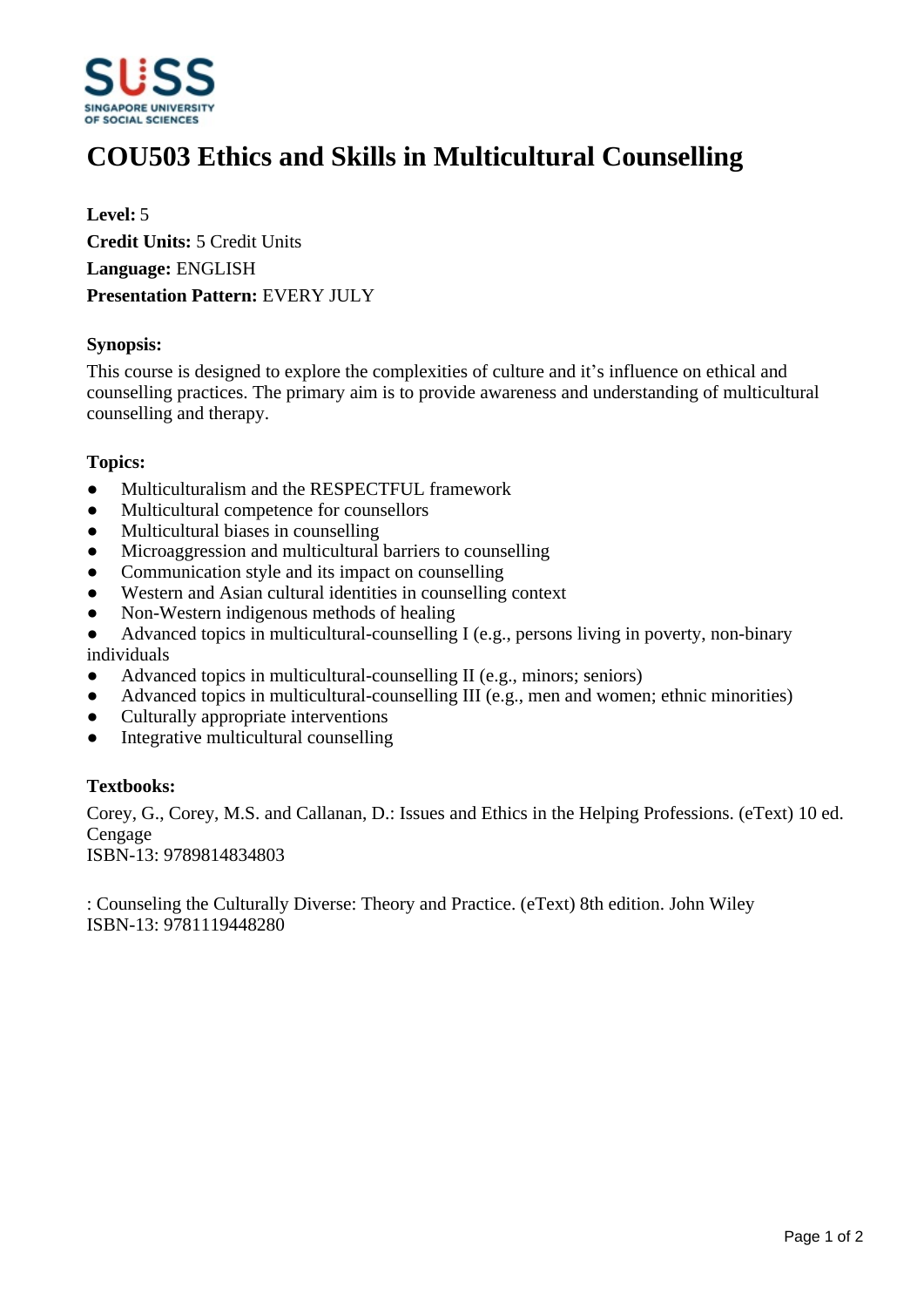

# **COU503 Ethics and Skills in Multicultural Counselling**

**Level:** 5 **Credit Units:** 5 Credit Units **Language:** ENGLISH **Presentation Pattern:** EVERY JULY

#### **Synopsis:**

This course is designed to explore the complexities of culture and it's influence on ethical and counselling practices. The primary aim is to provide awareness and understanding of multicultural counselling and therapy.

#### **Topics:**

- $\bullet$  Multiculturalism and the RESPECTFUL framework
- ƔMulticultural competence for counsellors
- Multicultural biases in counselling
- Microaggression and multicultural barriers to counselling
- Communication style and its impact on counselling
- Western and Asian cultural identities in counselling context
- Non-Western indigenous methods of healing
- $\bullet$  Advanced topics in multicultural-counselling I (e.g., persons living in poverty, non-binary individuals
- $\bullet$  Advanced topics in multicultural-counselling II (e.g., minors; seniors)
- Advanced topics in multicultural-counselling III (e.g., men and women; ethnic minorities)
- Culturally appropriate interventions
- Integrative multicultural counselling

## **Textbooks:**

Corey, G., Corey, M.S. and Callanan, D.: Issues and Ethics in the Helping Professions. (eText) 10 ed. Cengage ISBN-13: 9789814834803

: Counseling the Culturally Diverse: Theory and Practice. (eText) 8th edition. John Wiley

ISBN-13: 9781119448280